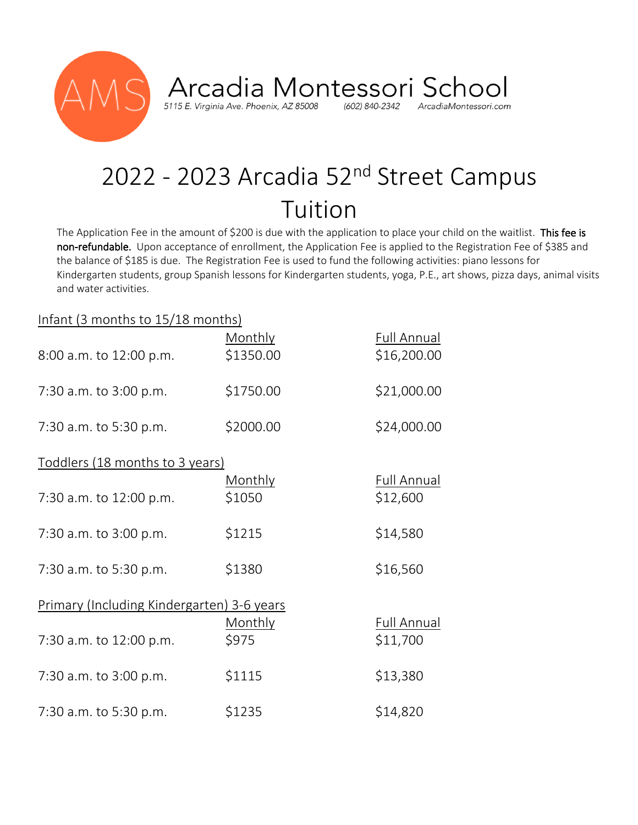

Arcadia Montessori School (602) 840-2342 ArcadiaMontessori.com

## 2022 - 2023 Arcadia 52<sup>nd</sup> Street Campus Tuition

The Application Fee in the amount of \$200 is due with the application to place your child on the waitlist. This fee is non-refundable. Upon acceptance of enrollment, the Application Fee is applied to the Registration Fee of \$385 and the balance of \$185 is due. The Registration Fee is used to fund the following activities: piano lessons for Kindergarten students, group Spanish lessons for Kindergarten students, yoga, P.E., art shows, pizza days, animal visits and water activities.

## Infant (3 months to 15/18 months)

| 8:00 a.m. to 12:00 p.m.                    | Monthly<br>\$1350.00 | <b>Full Annual</b><br>\$16,200.00 |  |
|--------------------------------------------|----------------------|-----------------------------------|--|
| 7:30 a.m. to 3:00 p.m.                     | \$1750.00            | \$21,000.00                       |  |
| 7:30 a.m. to 5:30 p.m.                     | \$2000.00            | \$24,000.00                       |  |
| Toddlers (18 months to 3 years)            |                      |                                   |  |
| 7:30 a.m. to 12:00 p.m.                    | Monthly<br>\$1050    | Full Annual<br>\$12,600           |  |
| 7:30 a.m. to 3:00 p.m.                     | \$1215               | \$14,580                          |  |
| 7:30 a.m. to 5:30 p.m.                     | \$1380               | \$16,560                          |  |
| Primary (Including Kindergarten) 3-6 years |                      |                                   |  |
| 7:30 a.m. to 12:00 p.m.                    | Monthly<br>\$975     | Full Annual<br>\$11,700           |  |
| 7:30 a.m. to 3:00 p.m.                     | \$1115               | \$13,380                          |  |
| 7:30 a.m. to 5:30 p.m.                     | \$1235               | \$14,820                          |  |